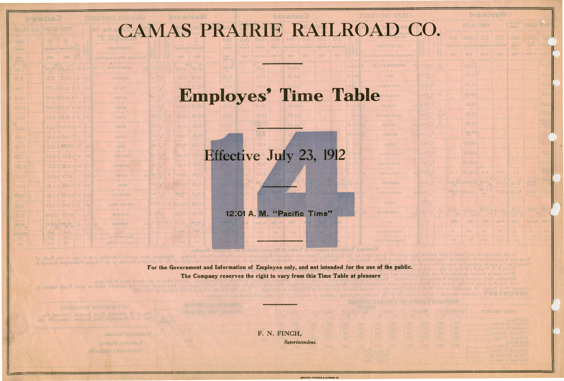## CAMAS PRAIRIE RAILROAD CO

## Employes' Time Table

## Effective July 23, 1912

12:01 A. **M. "Pacific Time"** (12:01 A.

| brawtee W          |                                                                       |                                                                                              |                                      |                            |                                                                                                                                                                                                                                                                                                                                                          |                                 |               |  |  |  |  |  |
|--------------------|-----------------------------------------------------------------------|----------------------------------------------------------------------------------------------|--------------------------------------|----------------------------|----------------------------------------------------------------------------------------------------------------------------------------------------------------------------------------------------------------------------------------------------------------------------------------------------------------------------------------------------------|---------------------------------|---------------|--|--|--|--|--|
|                    |                                                                       | FIRST CLASS                                                                                  |                                      |                            | Drigger 2<br><b>Ciana</b>                                                                                                                                                                                                                                                                                                                                | BEAUT PANT                      |               |  |  |  |  |  |
|                    | OES<br><b>TANK</b>                                                    | 243<br>Wanter Reserve                                                                        | 231                                  | 233<br><b>THE OTHER ?!</b> | Colo<br>$H(n) = 1$                                                                                                                                                                                                                                                                                                                                       | 1838.<br><b><i>Istallin</i></b> | V<br><b>M</b> |  |  |  |  |  |
| <b>SERIE SHARR</b> | <b>vitud</b>                                                          | vitan                                                                                        | <b>Wind</b>                          | <b>YURU</b>                | <b>Wind</b>                                                                                                                                                                                                                                                                                                                                              | <b>Mall</b> 2                   | 7972          |  |  |  |  |  |
| 翡                  |                                                                       | <b>DO.TR</b>                                                                                 |                                      |                            |                                                                                                                                                                                                                                                                                                                                                          |                                 | o j           |  |  |  |  |  |
|                    |                                                                       | <b>OS.TE</b>                                                                                 |                                      |                            |                                                                                                                                                                                                                                                                                                                                                          |                                 | Zb.           |  |  |  |  |  |
|                    |                                                                       | 57.45                                                                                        |                                      |                            |                                                                                                                                                                                                                                                                                                                                                          |                                 | aw.           |  |  |  |  |  |
| W                  |                                                                       | 01.82                                                                                        |                                      |                            |                                                                                                                                                                                                                                                                                                                                                          |                                 | 244           |  |  |  |  |  |
|                    |                                                                       | 88.82                                                                                        |                                      |                            |                                                                                                                                                                                                                                                                                                                                                          |                                 | 0.45          |  |  |  |  |  |
|                    |                                                                       | 08.82                                                                                        |                                      |                            |                                                                                                                                                                                                                                                                                                                                                          |                                 | 1,25          |  |  |  |  |  |
|                    |                                                                       | 00.62                                                                                        |                                      |                            |                                                                                                                                                                                                                                                                                                                                                          |                                 | N.            |  |  |  |  |  |
| MV.                |                                                                       | 00.83                                                                                        |                                      |                            |                                                                                                                                                                                                                                                                                                                                                          |                                 | $\alpha$      |  |  |  |  |  |
|                    |                                                                       | <b>SOLD</b> Ia                                                                               |                                      |                            |                                                                                                                                                                                                                                                                                                                                                          |                                 | Ö.            |  |  |  |  |  |
|                    |                                                                       | <b>TO.OT&amp;</b>                                                                            |                                      |                            |                                                                                                                                                                                                                                                                                                                                                          |                                 | <b>ALC</b>    |  |  |  |  |  |
|                    |                                                                       | 810.01a                                                                                      |                                      |                            |                                                                                                                                                                                                                                                                                                                                                          |                                 | 20<br>鷂       |  |  |  |  |  |
|                    | $\mathcal{H}$ . We                                                    | 83.012<br>ca. NA PRIOTE                                                                      | 29.06.                               | $21 - 16$<br>$1 + 0.0$     | 四 字                                                                                                                                                                                                                                                                                                                                                      | 72 H                            | 80            |  |  |  |  |  |
|                    |                                                                       | BLAST 28.013                                                                                 | $Q \subseteq S$<br><b>DR.S &amp;</b> |                            |                                                                                                                                                                                                                                                                                                                                                          | 2.45<br>26.891                  | ۶,<br>a.      |  |  |  |  |  |
|                    |                                                                       |                                                                                              | 9.62                                 |                            | VERS BLOW                                                                                                                                                                                                                                                                                                                                                | <b>OC.M</b>                     |               |  |  |  |  |  |
| 3 W                | <b>DIRE</b><br>$\label{eq:1} \hat{E}_{\rm{c}} = -\mathbf{M} \hat{E} $ | (A1,112)                                                                                     |                                      |                            | $\begin{picture}(10,10) \put(0,0){\line(1,0){10}} \put(0,0){\line(1,0){10}} \put(0,0){\line(1,0){10}} \put(0,0){\line(1,0){10}} \put(0,0){\line(1,0){10}} \put(0,0){\line(1,0){10}} \put(0,0){\line(1,0){10}} \put(0,0){\line(1,0){10}} \put(0,0){\line(1,0){10}} \put(0,0){\line(1,0){10}} \put(0,0){\line(1,0){10}} \put(0,0){\line(1,0){10}} \put(0,$ | DE.K                            | (Ou           |  |  |  |  |  |
|                    | yfeeth.                                                               | $\label{eq:1} \alpha_{\rm i} = 4d\,k.$<br>stino.                                             | <b>Villa D</b>                       | When                       | vHod.                                                                                                                                                                                                                                                                                                                                                    | roll x3                         | RDE           |  |  |  |  |  |
|                    | 72.                                                                   | $\left\langle \left  \partial \right\rangle \right\rangle _{0}\left  \partial \right\rangle$ | .305                                 | I Post                     | $E_{n+1}$                                                                                                                                                                                                                                                                                                                                                | 28                              |               |  |  |  |  |  |
|                    | 8.90                                                                  | <b>NAX</b>                                                                                   | <b>P. 077</b>                        | <b>NUTT</b>                | <b>OAT</b>                                                                                                                                                                                                                                                                                                                                               | (1, 1)                          |               |  |  |  |  |  |

Division of the Oregon-Washington Railroa For the Government and Information of Employes only, and not intended for the use of the public. The Company reserves the right to vary from this Time Table at pleasure

> F. N. FINCH,: Superintendent.

dock to agent North Lapwai is

ide themselves with a copy of the Book

biswias3

00.8 181.01 W or

48.81 81.81 W 2

08.81 24.8 1 . 0

01.8 1 18.0 1 M WW 4 19 18 32 18.17

 $10.0 \pm 0.10$  or  $0.0$ 

08.11 部0.01 or

m / 8.32 1 1.17

70 MB 00 512.45

日本型

BS. f

(18.11)

18.11

14.01 08.01

b.b.t.

Monus, Chiel Surgeon, Lewist

*ESBUIN* WATCH!

..EWIBTON PRINTING **A** IIINDINO CO

HABEOI